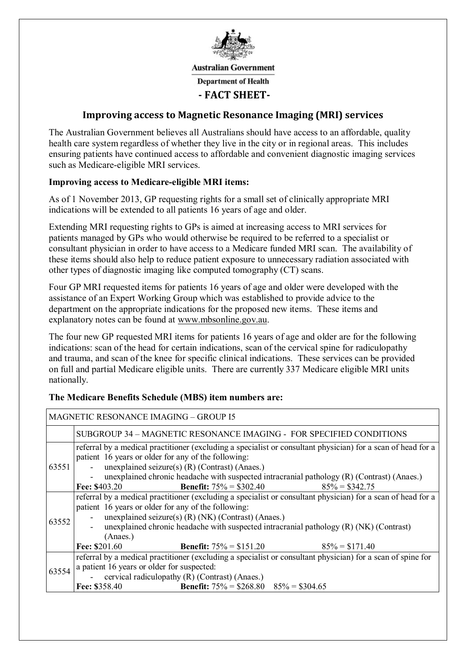

**Australian Government** 

**Department of Health** 

## **- FACT SHEET-**

### **Improving access to Magnetic Resonance Imaging (MRI) services**

The Australian Government believes all Australians should have access to an affordable, quality health care system regardless of whether they live in the city or in regional areas. This includes ensuring patients have continued access to affordable and convenient diagnostic imaging services such as Medicare-eligible MRI services.

#### **Improving access to Medicare-eligible MRI items:**

As of 1 November 2013, GP requesting rights for a small set of clinically appropriate MRI indications will be extended to all patients 16 years of age and older.

Extending MRI requesting rights to GPs is aimed at increasing access to MRI services for patients managed by GPs who would otherwise be required to be referred to a specialist or consultant physician in order to have access to a Medicare funded MRI scan. The availability of these items should also help to reduce patient exposure to unnecessary radiation associated with other types of diagnostic imaging like computed tomography (CT) scans.

Four GP MRI requested items for patients 16 years of age and older were developed with the assistance of an Expert Working Group which was established to provide advice to the department on the appropriate indications for the proposed new items. These items and explanatory notes can be found at www.mbsonline.gov.au.

The four new GP requested MRI items for patients 16 years of age and older are for the following indications: scan of the head for certain indications, scan of the cervical spine for radiculopathy and trauma, and scan of the knee for specific clinical indications. These services can be provided on full and partial Medicare eligible units. There are currently 337 Medicare eligible MRI units nationally.

| <b>MAGNETIC RESONANCE IMAGING - GROUP I5</b> |                                                                                                                                                                                                                                                                                                                                                                                                         |  |  |  |  |  |  |
|----------------------------------------------|---------------------------------------------------------------------------------------------------------------------------------------------------------------------------------------------------------------------------------------------------------------------------------------------------------------------------------------------------------------------------------------------------------|--|--|--|--|--|--|
|                                              | SUBGROUP 34 – MAGNETIC RESONANCE IMAGING - FOR SPECIFIED CONDITIONS                                                                                                                                                                                                                                                                                                                                     |  |  |  |  |  |  |
| 63551                                        | referral by a medical practitioner (excluding a specialist or consultant physician) for a scan of head for a<br>patient 16 years or older for any of the following:<br>- unexplained seizure(s) $(R)$ (Contrast) (Anaes.)<br>unexplained chronic headache with suspected intracranial pathology (R) (Contrast) (Anaes.)<br><b>Benefit:</b> $75\% = $302.40$ 85% = \$342.75<br><b>Fee: \$403.20</b>      |  |  |  |  |  |  |
| 63552                                        | referral by a medical practitioner (excluding a specialist or consultant physician) for a scan of head for a<br>patient 16 years or older for any of the following:<br>- unexplained seizure(s) (R) (NK) (Contrast) (Anaes.)<br>unexplained chronic headache with suspected intracranial pathology (R) (NK) (Contrast)<br>(Anaes.)<br>Fee: $$201.60$<br><b>Benefit:</b> $75\% = $151.20$ 85% = \$171.40 |  |  |  |  |  |  |
| 63554                                        | referral by a medical practitioner (excluding a specialist or consultant physician) for a scan of spine for<br>a patient 16 years or older for suspected:<br>- cervical radiculopathy $(R)$ (Contrast) (Anaes.)<br><b>Benefit:</b> $75\% = $268.80$ $85\% = $304.65$<br>Fee: \$358.40                                                                                                                   |  |  |  |  |  |  |

#### **The Medicare Benefits Schedule (MBS) item numbers are:**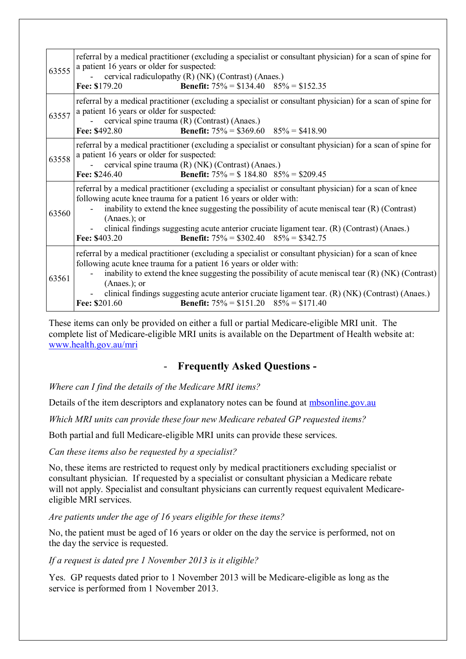| 63555 | referral by a medical practitioner (excluding a specialist or consultant physician) for a scan of spine for<br>a patient 16 years or older for suspected:<br>cervical radiculopathy (R) (NK) (Contrast) (Anaes.)<br><b>Benefit:</b> $75\% = $134.40$ $85\% = $152.35$<br>Fee: \$179.20                                                                                                                                                                                          |  |  |  |  |  |
|-------|---------------------------------------------------------------------------------------------------------------------------------------------------------------------------------------------------------------------------------------------------------------------------------------------------------------------------------------------------------------------------------------------------------------------------------------------------------------------------------|--|--|--|--|--|
| 63557 | referral by a medical practitioner (excluding a specialist or consultant physician) for a scan of spine for<br>a patient 16 years or older for suspected:<br>cervical spine trauma (R) (Contrast) (Anaes.)<br><b>Benefit:</b> $75\% = $369.60$ $85\% = $418.90$<br>Fee: \$492.80                                                                                                                                                                                                |  |  |  |  |  |
| 63558 | referral by a medical practitioner (excluding a specialist or consultant physician) for a scan of spine for<br>a patient 16 years or older for suspected:<br>cervical spine trauma (R) (NK) (Contrast) (Anaes.)<br><b>Benefit:</b> $75\% = $184.80$ $85\% = $209.45$<br>Fee: \$246.40                                                                                                                                                                                           |  |  |  |  |  |
| 63560 | referral by a medical practitioner (excluding a specialist or consultant physician) for a scan of knee<br>following acute knee trauma for a patient 16 years or older with:<br>inability to extend the knee suggesting the possibility of acute meniscal tear (R) (Contrast)<br>$(Anaes.);$ or<br>clinical findings suggesting acute anterior cruciate ligament tear. (R) (Contrast) (Anaes.)<br><b>Benefit:</b> $75\% = $302.40$ $85\% = $342.75$<br>Fee: \$403.20             |  |  |  |  |  |
| 63561 | referral by a medical practitioner (excluding a specialist or consultant physician) for a scan of knee<br>following acute knee trauma for a patient 16 years or older with:<br>inability to extend the knee suggesting the possibility of acute meniscal tear $(R)$ (NK) (Contrast)<br>$(Anaes.);$ or<br>clinical findings suggesting acute anterior cruciate ligament tear. (R) (NK) (Contrast) (Anaes.)<br>Fee: \$201.60<br><b>Benefit:</b> $75\% = $151.20$ $85\% = $171.40$ |  |  |  |  |  |

These items can only be provided on either a full or partial Medicare-eligible MRI unit. The complete list of Medicare-eligible MRI units is available on the Department of Health website at: www.health.gov.au/mri

# - **Frequently Asked Questions -**

*Where can I find the details of the Medicare MRI items?*

Details of the item descriptors and explanatory notes can be found at mbsonline.gov.au

*Which MRI units can provide these four new Medicare rebated GP requested items?* 

Both partial and full Medicare-eligible MRI units can provide these services.

*Can these items also be requested by a specialist?* 

No, these items are restricted to request only by medical practitioners excluding specialist or consultant physician. If requested by a specialist or consultant physician a Medicare rebate will not apply. Specialist and consultant physicians can currently request equivalent Medicareeligible MRI services.

*Are patients under the age of 16 years eligible for these items?* 

No, the patient must be aged of 16 years or older on the day the service is performed, not on the day the service is requested.

#### *If a request is dated pre 1 November 2013 is it eligible?*

Yes. GP requests dated prior to 1 November 2013 will be Medicare-eligible as long as the service is performed from 1 November 2013.